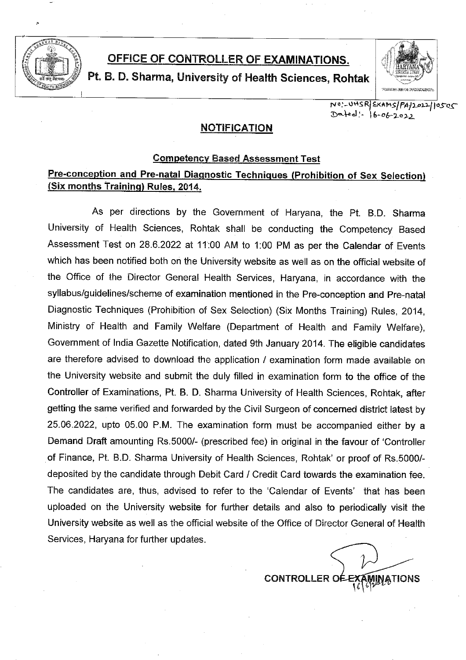

## OFFICE OF CONTROLLER OF EXAMINATIONS.

Pt. B. D. Sharma, University of Health Sciences, Rohtak



NO'-UHSRIEXAMS/PA/1011/0505 Dated: 16-06-2022

### **NOTIFICATION**

### **Competency Based Assessment Test**

### Pre-conception and Pre-natal Diagnostic Techniques (Prohibition of Sex Selection) (Six months Training) Rules, 2014.

As per directions by the Government of Haryana, the Pt. B.D. Sharma University of Health Sciences, Rohtak shall be conducting the Competency Based Assessment Test on 28.6.2022 at 11:00 AM to 1:00 PM as per the Calendar of Events which has been notified both on the University website as well as on the official website of the Office of the Director General Health Services, Haryana, in accordance with the syllabus/guidelines/scheme of examination mentioned in the Pre-conception and Pre-natal Diagnostic Techniques (Prohibition of Sex Selection) (Six Months Training) Rules, 2014, Ministry of Health and Family Welfare (Department of Health and Family Welfare). Government of India Gazette Notification, dated 9th January 2014. The eligible candidates are therefore advised to download the application / examination form made available on the University website and submit the duly filled in examination form to the office of the Controller of Examinations, Pt. B. D. Sharma University of Health Sciences, Rohtak, after getting the same verified and forwarded by the Civil Surgeon of concerned district latest by 25.06.2022, upto 05.00 P.M. The examination form must be accompanied either by a Demand Draft amounting Rs.5000/- (prescribed fee) in original in the favour of 'Controller of Finance, Pt. B.D. Sharma University of Health Sciences, Rohtak' or proof of Rs.5000/deposited by the candidate through Debit Card / Credit Card towards the examination fee. The candidates are, thus, advised to refer to the 'Calendar of Events' that has been uploaded on the University website for further details and also to periodically visit the University website as well as the official website of the Office of Director General of Health Services, Haryana for further updates.

**CONTROLLER**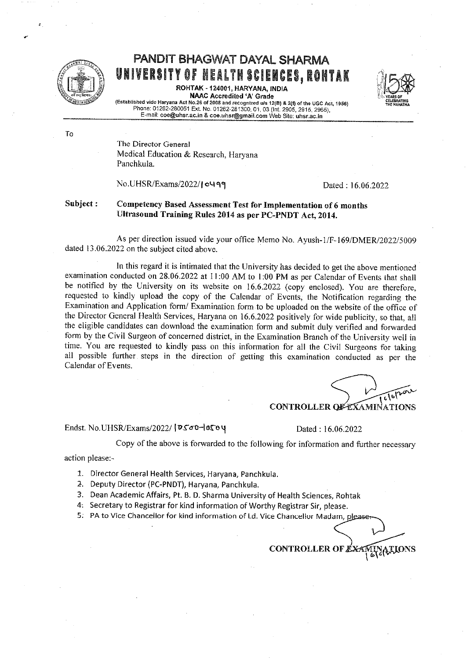

To

# PANDIT BHAGWAT DAYAL SHARMA UNIVERSITY OF HEALTH SCIENCES, ROHTAK

ROHTAK - 124001, HARYANA, INDIA **NAAC Accredited 'A' Grade** 



(Established vide Haryana Act No.26 of 2008 and recognized u/s 12(B) & 2(f) of the UGC Act, 1956)<br>Phone: 01262-280051 Ext. No. 01262-281300, 01, 03 (Int. 2905, 2915, 2965), E-mail: coe@uhsr.ac.in & coe.uhsr@gmail.com Web Site: uhsr.ac.in

The Director General Medical Education & Research, Haryana Panchkula.

No.UHSR/Exams/2022/10499

Dated: 16.06.2022

#### Subject: Competency Based Assessment Test for Implementation of 6 months Ultrasound Training Rules 2014 as per PC-PNDT Act, 2014.

As per direction issued vide your office Memo No. Ayush-1/F-169/DMER/2022/5009 dated 13.06.2022 on the subject cited above.

In this regard it is intimated that the University has decided to get the above mentioned examination conducted on 28.06.2022 at 11:00 AM to 1:00 PM as per Calendar of Events that shall be notified by the University on its website on 16.6.2022 (copy enclosed). You are therefore, requested to kindly upload the copy of the Calendar of Events, the Notification regarding the Examination and Application form/ Examination form to be uploaded on the website of the office of the Director General Health Services, Haryana on 16.6.2022 positively for wide publicity, so that, all the eligible candidates can download the examination form and submit duly verified and forwarded form by the Civil Surgeon of concerned district, in the Examination Branch of the University well in time. You are requested to kindly pass on this information for all the Civil Surgeons for taking all possible further steps in the direction of getting this examination conducted as per the Calendar of Events.

**CONTROLLER OF EXAMINATIONS** 

Endst. No.UHSR/Exams/2022/ |DS00-0504

Dated: 16.06.2022

Copy of the above is forwarded to the following for information and further necessary

action please:-

- 1. Director General Health Services, Haryana, Panchkula.
- 2. Deputy Director (PC-PNDT), Haryana, Panchkula.
- 3. Dean Academic Affairs, Pt. B. D. Sharma University of Health Sciences, Rohtak
- 4. Secretary to Registrar for kind information of Worthy Registrar Sir, please.
- 5. PA to Vice Chancellor for kind information of Ld. Vice Chancellor Madam, please

**CONTROLLER OF**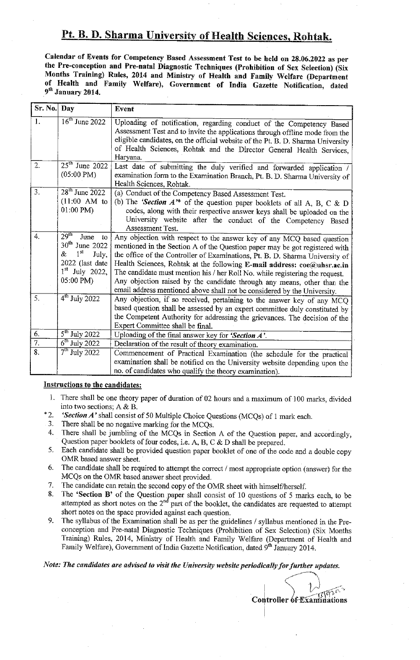### Pt. B. D. Sharma University of Health Sciences, Rohtak.

Calendar of Events for Competency Based Assessment Test to be held on 28.06.2022 as per the Pre-conception and Pre-natal Diagnostic Techniques (Prohibition of Sex Selection) (Six Months Training) Rules, 2014 and Ministry of Health and Family Welfare (Department of Health and Family Welfare), Government of India Gazette Notification, dated 9<sup>th</sup> January 2014.

| Sr. No. Day      |                                                                                                                                           | Event                                                                                                                                                                                                                                                                                                                                                                                                                                                                                                                                                   |
|------------------|-------------------------------------------------------------------------------------------------------------------------------------------|---------------------------------------------------------------------------------------------------------------------------------------------------------------------------------------------------------------------------------------------------------------------------------------------------------------------------------------------------------------------------------------------------------------------------------------------------------------------------------------------------------------------------------------------------------|
| 1.               | $16^{\text{th}}$ June 2022                                                                                                                | Uploading of notification, regarding conduct of the Competency Based<br>Assessment Test and to invite the applications through offline mode from the<br>eligible candidates, on the official website of the Pt. B. D. Sharma University<br>of Health Sciences, Rohtak and the Director General Health Services,<br>Haryana.                                                                                                                                                                                                                             |
| 2.               | $25th$ June 2022<br>$(05:00 \text{ PM})$                                                                                                  | Last date of submitting the duly verified and forwarded application /<br>examination form to the Examination Branch, Pt. B. D. Sharma University of<br>Health Sciences, Rohtak.                                                                                                                                                                                                                                                                                                                                                                         |
| 3 <sup>1</sup>   | 28 <sup>th</sup> June 2022<br>$(11.00 \text{ AM}$ to<br>01:00 PM)                                                                         | (a) Conduct of the Competency Based Assessment Test.<br>(b) The 'Section $A^*$ of the question paper booklets of all A, B, C & D<br>codes, along with their respective answer keys shall be uploaded on the<br>University website after the conduct of the Competency Based<br>Assessment Test.                                                                                                                                                                                                                                                         |
| $\overline{4}$   | $29$ <sup>th</sup><br>June<br>to<br>$30th$ June 2022<br>1 <sup>st</sup><br>&<br>July,<br>2022 (last date<br>$1st$ July 2022,<br>05:00 PM) | Any objection with respect to the answer key of any MCQ based question<br>mentioned in the Section A of the Question paper may be got registered with<br>the office of the Controller of Examinations, Pt. B. D. Sharma University of<br>Health Sciences, Rohtak at the following E-mail address: coe@uhsr.ac.in<br>The candidate must mention his / her Roll No. while registering the request.<br>Any objection raised by the candidate through any means, other than the<br>email address mentioned above shall not be considered by the University. |
| 5.               | $\overline{4}^{\text{th}}$ July 2022                                                                                                      | Any objection, if so received, pertaining to the answer key of any MCQ<br>based question shall be assessed by an expert committee duly constituted by<br>the Competent Authority for addressing the grievances. The decision of the<br>Expert Committee shall be final.                                                                                                                                                                                                                                                                                 |
| 6.               | $\overline{5^{th}}$ July 2022                                                                                                             | Uploading of the final answer key for 'Section A'.                                                                                                                                                                                                                                                                                                                                                                                                                                                                                                      |
| $\overline{7}$ . | $6th$ July 2022                                                                                                                           | Declaration of the result of theory examination.                                                                                                                                                                                                                                                                                                                                                                                                                                                                                                        |
| 8.               | $7th$ July 2022                                                                                                                           | Commencement of Practical Examination (the schedule for the practical<br>examination shall be notified on the University website depending upon the<br>no. of candidates who qualify the theory examination).                                                                                                                                                                                                                                                                                                                                           |

#### **Instructions to the candidates:**

- 1. There shall be one theory paper of duration of 02 hours and a maximum of 100 marks, divided into two sections;  $A & B$ .
- $*2$ 'Section A' shall consist of 50 Multiple Choice Questions (MCQs) of 1 mark each.
- There shall be no negative marking for the MCQs. 3.
- There shall be jumbling of the MCQs in Section A of the Question paper, and accordingly, 4. Question paper booklets of four codes, i.e. A, B, C  $\&$  D shall be prepared.
- $5.$ Each candidate shall be provided question paper booklet of one of the code and a double copy OMR based answer sheet.
- The candidate shall be required to attempt the correct / most appropriate option (answer) for the 6. MCQs on the OMR based answer sheet provided.
- $7.$ The candidate can retain the second copy of the OMR sheet with himself/herself.
- The 'Section B' of the Question paper shall consist of 10 questions of 5 marks each, to be 8. attempted as short notes on the  $2<sup>nd</sup>$  part of the booklet, the candidates are requested to attempt short notes on the space provided against each question.
- 9. The syllabus of the Examination shall be as per the guidelines / syllabus mentioned in the Preconception and Pre-natal Diagnostic Techniques (Prohibition of Sex Selection) (Six Months Training) Rules, 2014, Ministry of Health and Family Welfare (Department of Health and Family Welfare), Government of India Gazette Notification, dated 9th January 2014.

Note: The candidates are advised to visit the University website periodically for further updates.

**Controller of Examinations**